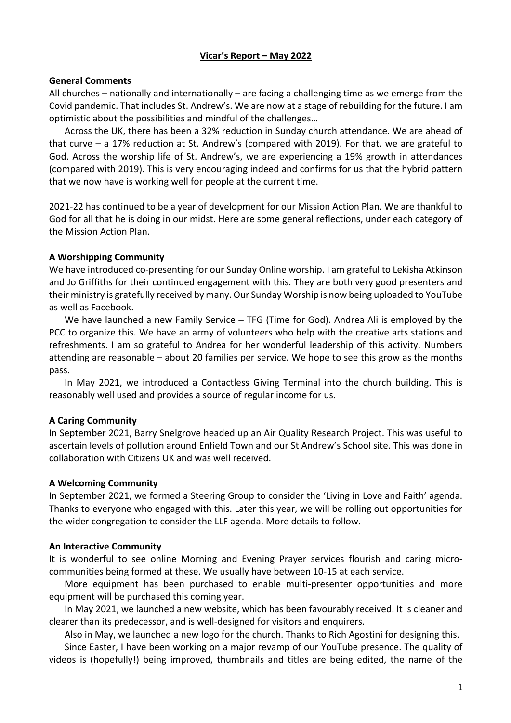# **Vicar's Report – May 2022**

## **General Comments**

All churches – nationally and internationally – are facing a challenging time as we emerge from the Covid pandemic. That includes St. Andrew's. We are now at a stage of rebuilding for the future. I am optimistic about the possibilities and mindful of the challenges…

Across the UK, there has been a 32% reduction in Sunday church attendance. We are ahead of that curve – a 17% reduction at St. Andrew's (compared with 2019). For that, we are grateful to God. Across the worship life of St. Andrew's, we are experiencing a 19% growth in attendances (compared with 2019). This is very encouraging indeed and confirms for us that the hybrid pattern that we now have is working well for people at the current time.

2021-22 has continued to be a year of development for our Mission Action Plan. We are thankful to God for all that he is doing in our midst. Here are some general reflections, under each category of the Mission Action Plan.

## **A Worshipping Community**

We have introduced co-presenting for our Sunday Online worship. I am grateful to Lekisha Atkinson and Jo Griffiths for their continued engagement with this. They are both very good presenters and their ministry is gratefully received by many. Our Sunday Worship is now being uploaded to YouTube as well as Facebook.

We have launched a new Family Service – TFG (Time for God). Andrea Ali is employed by the PCC to organize this. We have an army of volunteers who help with the creative arts stations and refreshments. I am so grateful to Andrea for her wonderful leadership of this activity. Numbers attending are reasonable – about 20 families per service. We hope to see this grow as the months pass.

In May 2021, we introduced a Contactless Giving Terminal into the church building. This is reasonably well used and provides a source of regular income for us.

## **A Caring Community**

In September 2021, Barry Snelgrove headed up an Air Quality Research Project. This was useful to ascertain levels of pollution around Enfield Town and our St Andrew's School site. This was done in collaboration with Citizens UK and was well received.

#### **A Welcoming Community**

In September 2021, we formed a Steering Group to consider the 'Living in Love and Faith' agenda. Thanks to everyone who engaged with this. Later this year, we will be rolling out opportunities for the wider congregation to consider the LLF agenda. More details to follow.

#### **An Interactive Community**

It is wonderful to see online Morning and Evening Prayer services flourish and caring microcommunities being formed at these. We usually have between 10-15 at each service.

More equipment has been purchased to enable multi-presenter opportunities and more equipment will be purchased this coming year.

In May 2021, we launched a new website, which has been favourably received. It is cleaner and clearer than its predecessor, and is well-designed for visitors and enquirers.

Also in May, we launched a new logo for the church. Thanks to Rich Agostini for designing this.

Since Easter, I have been working on a major revamp of our YouTube presence. The quality of videos is (hopefully!) being improved, thumbnails and titles are being edited, the name of the